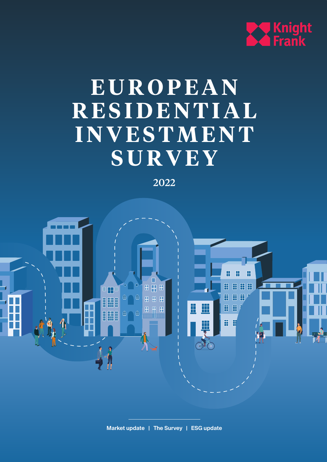

# **E U R O P E A N R E S I D E N T I A L INVESTMENT SURVEY**

2022

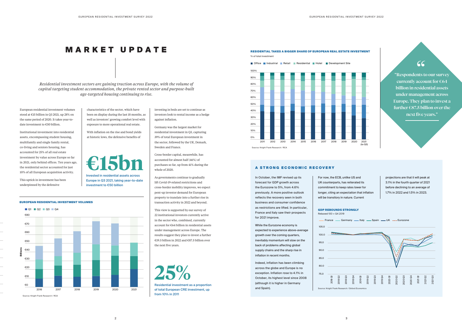European residential investment volumes stood at €15 billion in Q3 2021, up 28% on the same period of 2020. It takes year-todate investment to €50 billion.

characteristics of the sector, which have been on display during the last 18 months, as well as investors' growing comfort level with exposure to more operational real estate.

Institutional investment into residential assets, encompassing student housing, multifamily and single family rental, co-living and seniors housing, has accounted for 25% of all real estate investment by value across Europe so far in 2021, only behind offices. Ten years ago, the residential sector accounted for just 10% of all European acquisition activity.

> Europe in Q3 2021, taking year-to-date investment to  $\epsilon$ 50 billion

This uptick in investment has been underpinned by the defensive

 $\overline{\phantom{a}}$ 

 $\overline{\phantom{a}}$ 

 $\mathcal{L}_{\mathcal{A}}$ 

 $\overline{\phantom{a}}$ 

With inflation on the rise and bond yields at historic lows, the defensive benefits of

EUROPEAN RESIDENTIAL INVESTMENT VOLUMES

Residential investment as a proportion of total European CRE investment, up **25%**

from 10% in 2011

investing in beds are set to continue as investors look to rental income as a hedge against inflation.

Germany was the largest market for residential investment in Q3, capturing 39% of total European investment in the sector, followed by the UK, Demark, Sweden and France.

■ Office ■ Industrial ■ Retail ■ Residential ■ Hotel ■ Development Site



A STRONG ECONOMIC RECOVERY

Cross-border capital, meanwhile, has accounted for almost half (46%) of purchases so far, up from 41% during the whole of 2020.

As governments continue to gradually lift Covid-19-related restrictions and cross-border mobility improves, we expect pent-up investor demand for European property to translate into a further rise in transaction activity in 2022 and beyond.

## MARKET UPDATE 100%

*Residential investment sectors are gaining traction across Europe, with the volume of capital targeting student accommodation, the private rented sector and purpose-built age-targeted housing continuing to rise.* 40%

> This view is supported by our survey of 22 institutional investors currently active in the sector who, combined, currently account for €64 billion in residential assets under management across Europe. The results suggest they plan to invest a further €19.5 billion in 2022 and €87.5 billion over the next five years.

In October, the IMF revised up its forecast for GDP growth across the Eurozone to 5%, from 4.6% previously. A more positive outlook reflects the recovery seen in both business and consumer confidence as restrictions are lifted. In particular, France and Italy saw their prospects for 2021 improve.



While the Eurozone economy is expected to experience above-average growth over the coming quarters, inevitably momentum will slow on the back of problems affecting global supply chains and the sharp rise in inflation in recent months.

Indeed, inflation has been climbing across the globe and Europe is no exception. Inflation rose to 4.1% in October, its highest level since 2008 (although it is higher in Germany and Spain).

## For now, the ECB, unlike US and UK counterparts, has reiterated its commitment to keep rates lower for longer, citing an expectation that inflation will be transitory in nature. Current

projections are that it will peak at 3.1% in the fourth quarter of 2021 before declining to an average of 1.7% in 2022 and 1.5% in 2023.

## GDP REBOUNDS STRONGLY

## RESIDENTIAL TAKES A BIGGER SHARE OF EUROPEAN REAL ESTATE INVESTMENT % of total investment

"Respondents to our survey currently account for  $€64$ billion in residential assets under management across Europe. They plan to invest a further  $\epsilon$ 87.5 billion over the next five years."

## "





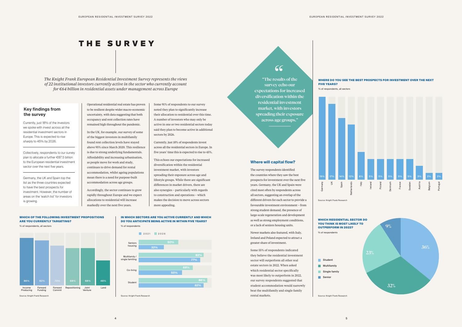## THE SURVEY

*The Knight Frank European Residential Investment Survey represents the views of 22 institutional investors currently active in the sector who currently account for €64 billion in residential assets under management across Europe*

> IN WHICH SECTORS ARE YOU ACTIVE CURRENTLY AND WHICH DO YOU ANTICIPATE BEING ACTIVE IN WITHIN FIVE YEARS? % of respondents



### WHICH RESIDENTIAL SECTOR DO YOU THINK IS MOST LIKELY TO OUTPERFORM IN 2022?

% of respondents

"The results of the

"

survey echo our expectations for increased diversification within the residential investment market, with investors spreading their exposure across age groups."

Some 91% of respondents to our survey noted they plan to significantly increase their allocation to residential over this time. A number of investors who may only be active in one or two residential sectors today said they plan to become active in additional sectors by 2026.

Currently, just 18% of respondents invest across all the residential sectors in Europe. In five years' time this is expected to rise to 45%.

This echoes our expectations for increased diversification within the residential investment market, with investors spreading their exposure across age and lifestyle groups. While there are significant differences in market drivers, there are also synergies – particularly with regards to construction and operations – which makes the decision to move across sectors more appealing.

Operational residential real estate has proven to be resilient despite wider macro-economic uncertainty, with data suggesting that both occupancy and rent collection rates have remained high throughout the pandemic.

In the UK, for example, our survey of some of the biggest investors in multifamily found rent collection levels have stayed above 95% since March 2020. This resilience is due to strong underlying fundamentals. Affordability and increasing urbanisation, as people move for work and study, continues to drive demand for rental accommodation, whilst ageing populations mean there is a need for purpose-built accommodation across age groups.

 $\leq$ Spain Germany

Source: Knight Frank Research

Accordingly, the sector continues to grow rapidly throughout Europe and we expect allocations to residential will increase markedly over the next five years.

## **Where will capital flow?**

The survey respondents identified the countries where they saw the best prospects for investment over the next five years. Germany, the UK and Spain were cited most often by respondents across all sectors, suggesting an overlap of the different drivers for each sector to provide a favourable investment environment – from strong student demand, the presence of large-scale regeneration and development as well as strong employment conditions, or a lack of seniors housing units.

Newer markets also featured, with Italy, Ireland and Poland expected to attract a greater share of investment.

Some 55% of respondents indicated they believe the residential investment sector will outperform all other real estate sectors in 2022. When asked which residential sector specifically was most likely to outperform in 2022, our survey respondents suggested that student accommodation would narrowly beat the multifamily and single family rental markets.



## FIVE YEARS? % of respondents, all sectors



## **Key findings from the survey**

Currently, just 18% of the investors we spoke with invest across all the residential investment sectors in Europe. This is expected to rise sharply to 45% by 2026.



Collectively, respondents to our survey plan to allocate a further €87.5 billion to the European residential investment sector over the next five years.

Germany, the UK and Spain top the list as the three countries expected to have the best prospects for investment. However, the number of areas on the 'watch list' for investors is growing.

Source: Knight Frank Research Source: Knight Frank Research

### WHICH OF THE FOLLOWING INVESTMENT PROPOSITIONS ARE YOU CURRENTLY TARGETING?

% of respondents, all sectors



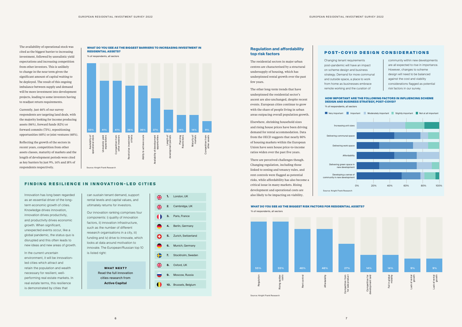The availability of operational stock was cited as the biggest barrier to increasing investment, followed by unrealistic yield expectations and increasing competition from other investors. This is unlikely to change in the near term given the significant amount of capital waiting to be deployed. The result of this ongoing imbalance between supply and demand will be more investment into development projects, leading to some investors having to readjust return requirements.

Currently, just 46% of our survey respondents are targeting land deals, with the majority looking for income producing assets (86%), forward funds (82%) or forward commits (73%), repositioning opportunities (68%) or joint ventures (68%).

Reflecting the growth of the sectors in recent years, competition from other assets classes, maturity of markets and the length of development periods were cited as key barriers by just 9%, 14% and 18% of respondents respectively.

Innovation has long been regarded as an essential driver of the longterm economic growth of cities. Knowledge drives innovation, innovation drives productivity, and productivity drives economic growth. When significant, unexpected events occur, like a global pandemic, the status quo is disrupted and this often leads to new ideas and new areas of growth.

In the current uncertain environment, it will be innovationled cities which attract and retain the population and wealth necessary for resilient, wellperforming real estate markets. In real estate terms, this resilience is demonstrated by cities that

can sustain tenant demand, support rental levels and capital values, and ultimately returns for investors.

Our innovation ranking comprises four components: i) quality of innovation factors, ii) innovation infrastructure, such as the number of different research organisations in a city, iii) funding and iv) drive to innovate, which looks at data around motivation to innovate. The European/Russian top 10 is listed right:

## FINDING RESILIENCE IN INNOVATION-LED CITIES

## **Regulation and affordability top risk factors**

The residential sectors in major urban centres are characterised by a structural undersupply of housing, which has underpinned rental growth over the past few years.

米 **1.** London, UK **2**. Cambridge, UK **3.** Paris, France **4.** Berlin, Germany **5.** Zurich, Switzerland **6.** Munich, Germany **7.** Stockholm, Sweden **8.** Oxford, UK **9.** Moscow, Russia **10.** Brussels, Belgium

The other long-term trends that have underpinned the residential sector's ascent are also unchanged, despite recent events. European cities continue to grow with the share of people living in urban areas outpacing overall population growth.

Elsewhere, shrinking household sizes and rising house prices have been driving demand for rental accommodation. Data from the OECD suggests that nearly 80% of housing markets within the European Union have seen house price-to-income ratios widen over the past five years.

There are perceived challenges though. Changing regulation, including those linked to zoning and tenancy rules, and rent controls were flagged as potential risks, while affordability has also become a critical issue in many markets. Rising development and operational costs are also likely to be impacting on viability.



% of respondents, all sectors

Changing tenant requirements post-pandemic will have an impact on scheme design and business strategy. Demand for more communal and outside space, a place to work from home as businesses embrace remote working and the curation of

community within new developments are all expected to rise in importance. However, changes to scheme design will need to be balanced against the cost and viability considerations flagged as potential risk factors in our survey.



## POST-COVID DESIGN CONSIDERATIONS

- 
- 
- 
- 
- 
- 

## HOW IMPORTANT ARE THE FOLLOWING FACTORS IN INFLUENCING SCHEME DESIGN AND BUSINESS STRATEGY, POST-COVID?

% of respondents, all sectors

Increasing unit sizes

Delivering work space



Affordability

Delivering green space in new development

community in new development

## WHAT DO YOU SEE AS THE BIGGEST RISK FACTORS FOR RESIDENTIAL ASSETS?

% of respondents, all sectors

Source: Knight Frank Research

Source: Knight Frank Research



Read the full innovation cities research from **Active Capital**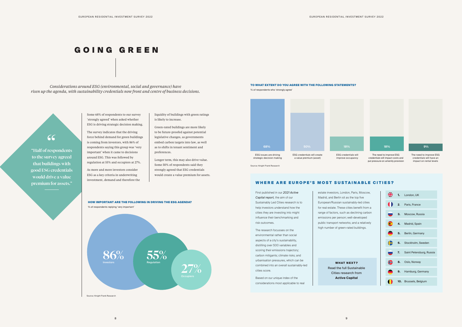## GOING GREEN

*Considerations around ESG (environmental, social and governance) have risen up the agenda, with sustainability credentials now front and centre of business decisions.* 

> liquidity of buildings with green ratings is likely to increase.

Green-rated buildings are more likely to be future-proofed against potential legislative changes, as governments embed carbon targets into law, as well as to shifts in tenant sentiment and preferences.

Longer term, this may also drive value. Some 50% of respondents said they strongly agreed that ESG credentials would create a value premium for assets.





### TO WHAT EXTENT DO YOU AGREE WITH THE FOLLOWING STATEMENTS?

% of respondents who 'strongly agree'

a value premium (asset)

ESG credentials will improve occupancy



credentials will impact costs and put pressure on amenity provision



The need to improve ESG credentials will have an impact on rental levels

# "

"Half of respondents to the survey agreed that buildings with good ESG credentials would drive a value premium for assets."



Some 68% of respondents to our survey 'strongly agreed' when asked whether ESG is driving strategic decision making.

> WHAT NEXT? Read the full Sustainable Cities research from **Active Capital**



The survey indicates that the driving force behind demand for green buildings is coming from investors, with 86% of respondents saying this group was 'very important' when it came to decisions around ESG. This was followed by regulation at 55% and occupiers at 27%.

As more and more investors consider ESG as a key criteria in underwriting investment, demand and therefore the

> First published in our *2021 Active Capital report,* the aim of our Sustainably Led Cities research is to help investors understand how the cities they are investing into might influence their benchmarking and risk outcomes.

The research focusses on the environmental rather than social aspects of a city's sustainability, distilling over 500 variables and scoring their emissions trajectory; carbon mitigants; climate risks; and urbanisation pressures, which can be combined into an overall sustainably-led cities score.

Based on our unique index of the considerations most applicable to real estate investors, London, Paris, Moscow, Madrid, and Berlin sit as the top five European/Russian sustainably-led cities for real estate. These cities benefit from a range of factors, such as declining carbon emissions per person; well-developed public transport networks; and a relatively high number of green-rated buildings.

## WHERE ARE EUROPE'S MOST SUSTAINABLE CITIES?

|                | $\frac{N}{N}$ 1. London, UK  |
|----------------|------------------------------|
|                | 2. Paris, France             |
| $\blacksquare$ | 3. Moscow, Russia            |
| $\blacksquare$ | 4. Madrid, Spain             |
|                | 5. Berlin, Germany           |
| €              | 6. Stockholm, Sweden         |
| $\blacksquare$ | 7. Saint Petersburg, Russia  |
| ₩              | 8. Oslo, Norway              |
|                | 9. Hamburg, Germany          |
|                | <b>10.</b> Brussels, Belgium |

Source: Knight Frank Research

Source: Knight Frank Research